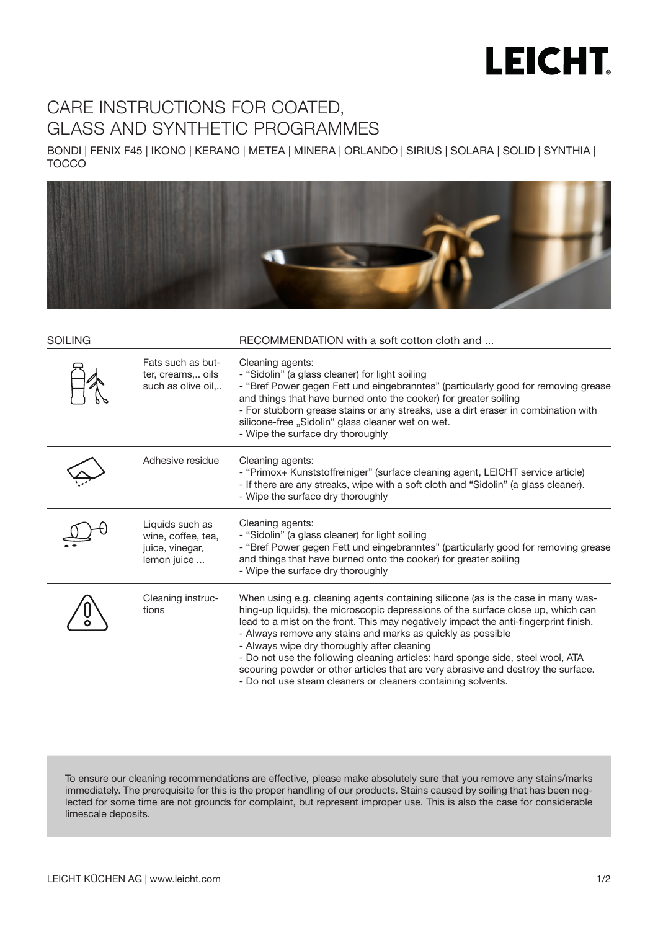## **LEICHT**

## CARE INSTRUCTIONS FOR COATED, GLASS AND SYNTHETIC PROGRAMMES

BONDI | FENIX F45 | IKONO | KERANO | METEA | MINERA | ORLANDO | SIRIUS | SOLARA | SOLID | SYNTHIA | TOCCO



| <b>SOILING</b> |                                                                         | RECOMMENDATION with a soft cotton cloth and                                                                                                                                                                                                                                                                                                                                                                                                                                                                                                                                                                        |
|----------------|-------------------------------------------------------------------------|--------------------------------------------------------------------------------------------------------------------------------------------------------------------------------------------------------------------------------------------------------------------------------------------------------------------------------------------------------------------------------------------------------------------------------------------------------------------------------------------------------------------------------------------------------------------------------------------------------------------|
|                | Fats such as but-<br>ter, creams, oils<br>such as olive oil,            | Cleaning agents:<br>- "Sidolin" (a glass cleaner) for light soiling<br>- "Bref Power gegen Fett und eingebranntes" (particularly good for removing grease<br>and things that have burned onto the cooker) for greater soiling<br>- For stubborn grease stains or any streaks, use a dirt eraser in combination with<br>silicone-free "Sidolin" glass cleaner wet on wet.<br>- Wipe the surface dry thoroughly                                                                                                                                                                                                      |
|                | Adhesive residue                                                        | Cleaning agents:<br>- "Primox+ Kunststoffreiniger" (surface cleaning agent, LEICHT service article)<br>- If there are any streaks, wipe with a soft cloth and "Sidolin" (a glass cleaner).<br>- Wipe the surface dry thoroughly                                                                                                                                                                                                                                                                                                                                                                                    |
|                | Liquids such as<br>wine, coffee, tea,<br>juice, vinegar,<br>lemon juice | Cleaning agents:<br>- "Sidolin" (a glass cleaner) for light soiling<br>- "Bref Power gegen Fett und eingebranntes" (particularly good for removing grease<br>and things that have burned onto the cooker) for greater soiling<br>- Wipe the surface dry thoroughly                                                                                                                                                                                                                                                                                                                                                 |
|                | Cleaning instruc-<br>tions                                              | When using e.g. cleaning agents containing silicone (as is the case in many was-<br>hing-up liquids), the microscopic depressions of the surface close up, which can<br>lead to a mist on the front. This may negatively impact the anti-fingerprint finish.<br>- Always remove any stains and marks as quickly as possible<br>- Always wipe dry thoroughly after cleaning<br>- Do not use the following cleaning articles: hard sponge side, steel wool, ATA<br>scouring powder or other articles that are very abrasive and destroy the surface.<br>- Do not use steam cleaners or cleaners containing solvents. |

To ensure our cleaning recommendations are effective, please make absolutely sure that you remove any stains/marks immediately. The prerequisite for this is the proper handling of our products. Stains caused by soiling that has been neglected for some time are not grounds for complaint, but represent improper use. This is also the case for considerable limescale deposits.